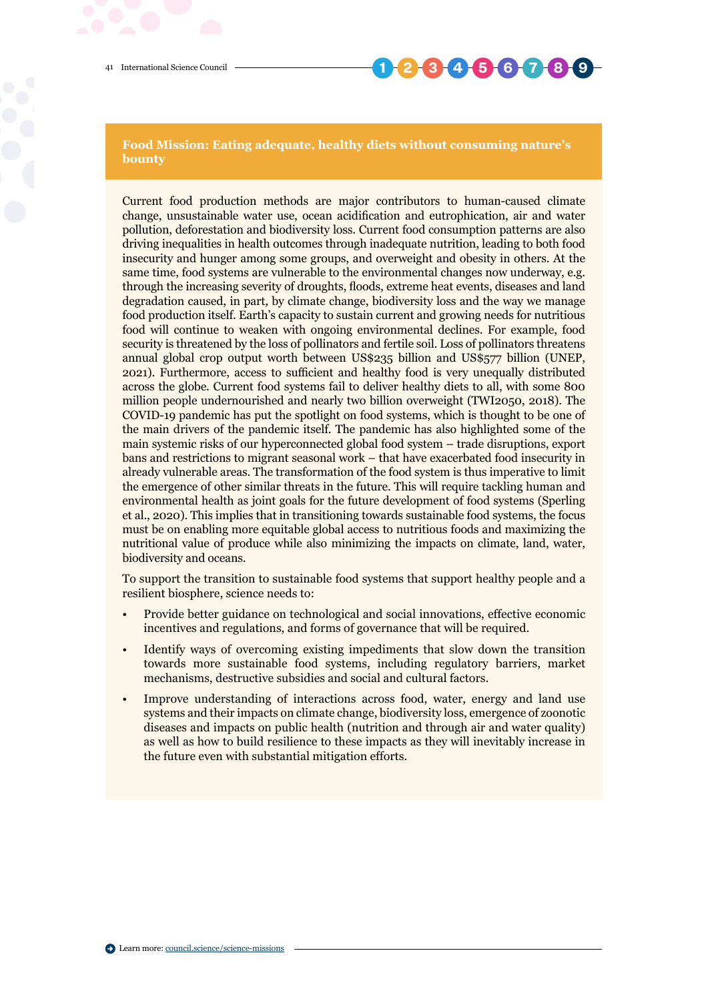41 International Science Council

## **1 2 3 4 5 6 7 8 9**

**Food Mission: Eating adequate, healthy diets without consuming nature's bounty**

Current food production methods are major contributors to human-caused climate change, unsustainable water use, ocean acidification and eutrophication, air and water pollution, deforestation and biodiversity loss. Current food consumption patterns are also driving inequalities in health outcomes through inadequate nutrition, leading to both food insecurity and hunger among some groups, and overweight and obesity in others. At the same time, food systems are vulnerable to the environmental changes now underway, e.g. through the increasing severity of droughts, floods, extreme heat events, diseases and land degradation caused, in part, by climate change, biodiversity loss and the way we manage food production itself. Earth's capacity to sustain current and growing needs for nutritious food will continue to weaken with ongoing environmental declines. For example, food security is threatened by the loss of pollinators and fertile soil. Loss of pollinators threatens annual global crop output worth between US\$235 billion and US\$577 billion (UNEP, 2021). Furthermore, access to sufficient and healthy food is very unequally distributed across the globe. Current food systems fail to deliver healthy diets to all, with some 800 million people undernourished and nearly two billion overweight (TWI2050, 2018). The COVID-19 pandemic has put the spotlight on food systems, which is thought to be one of the main drivers of the pandemic itself. The pandemic has also highlighted some of the main systemic risks of our hyperconnected global food system – trade disruptions, export bans and restrictions to migrant seasonal work – that have exacerbated food insecurity in already vulnerable areas. The transformation of the food system is thus imperative to limit the emergence of other similar threats in the future. This will require tackling human and environmental health as joint goals for the future development of food systems (Sperling et al., 2020). This implies that in transitioning towards sustainable food systems, the focus must be on enabling more equitable global access to nutritious foods and maximizing the nutritional value of produce while also minimizing the impacts on climate, land, water, biodiversity and oceans.

To support the transition to sustainable food systems that support healthy people and a resilient biosphere, science needs to:

- Provide better guidance on technological and social innovations, effective economic incentives and regulations, and forms of governance that will be required.
- Identify ways of overcoming existing impediments that slow down the transition towards more sustainable food systems, including regulatory barriers, market mechanisms, destructive subsidies and social and cultural factors.
- Improve understanding of interactions across food, water, energy and land use systems and their impacts on climate change, biodiversity loss, emergence of zoonotic diseases and impacts on public health (nutrition and through air and water quality) as well as how to build resilience to these impacts as they will inevitably increase in the future even with substantial mitigation efforts.